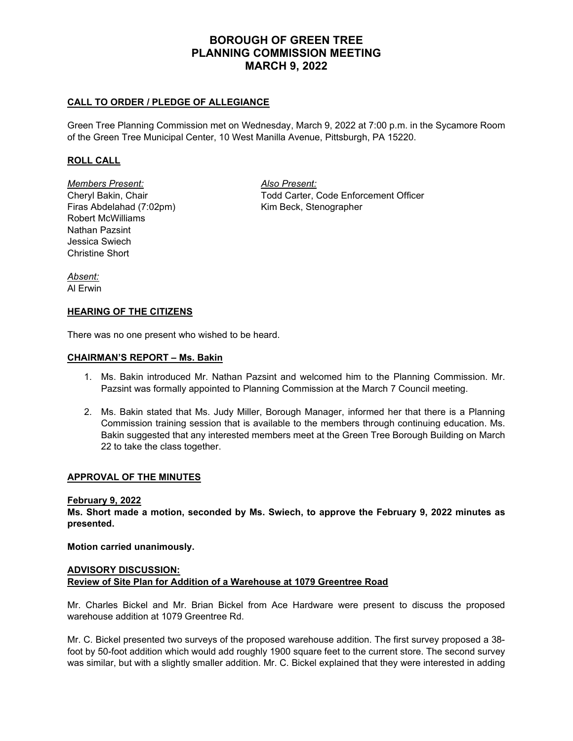# **BOROUGH OF GREEN TREE PLANNING COMMISSION MEETING MARCH 9, 2022**

## **CALL TO ORDER / PLEDGE OF ALLEGIANCE**

Green Tree Planning Commission met on Wednesday, March 9, 2022 at 7:00 p.m. in the Sycamore Room of the Green Tree Municipal Center, 10 West Manilla Avenue, Pittsburgh, PA 15220.

## **ROLL CALL**

*Members Present: Also Present:* Firas Abdelahad (7:02pm) Kim Beck, Stenographer Robert McWilliams Nathan Pazsint Jessica Swiech Christine Short

Cheryl Bakin, Chair Todd Carter, Code Enforcement Officer

*Absent:* Al Erwin

### **HEARING OF THE CITIZENS**

There was no one present who wished to be heard.

### **CHAIRMAN'S REPORT – Ms. Bakin**

- 1. Ms. Bakin introduced Mr. Nathan Pazsint and welcomed him to the Planning Commission. Mr. Pazsint was formally appointed to Planning Commission at the March 7 Council meeting.
- 2. Ms. Bakin stated that Ms. Judy Miller, Borough Manager, informed her that there is a Planning Commission training session that is available to the members through continuing education. Ms. Bakin suggested that any interested members meet at the Green Tree Borough Building on March 22 to take the class together.

### **APPROVAL OF THE MINUTES**

#### **February 9, 2022**

**Ms. Short made a motion, seconded by Ms. Swiech, to approve the February 9, 2022 minutes as presented.**

**Motion carried unanimously.**

## **ADVISORY DISCUSSION: Review of Site Plan for Addition of a Warehouse at 1079 Greentree Road**

Mr. Charles Bickel and Mr. Brian Bickel from Ace Hardware were present to discuss the proposed warehouse addition at 1079 Greentree Rd.

Mr. C. Bickel presented two surveys of the proposed warehouse addition. The first survey proposed a 38 foot by 50-foot addition which would add roughly 1900 square feet to the current store. The second survey was similar, but with a slightly smaller addition. Mr. C. Bickel explained that they were interested in adding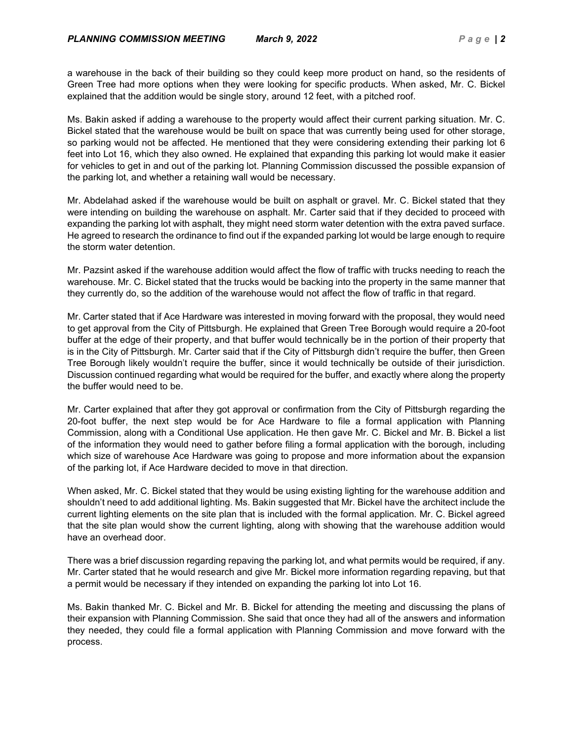a warehouse in the back of their building so they could keep more product on hand, so the residents of Green Tree had more options when they were looking for specific products. When asked, Mr. C. Bickel explained that the addition would be single story, around 12 feet, with a pitched roof.

Ms. Bakin asked if adding a warehouse to the property would affect their current parking situation. Mr. C. Bickel stated that the warehouse would be built on space that was currently being used for other storage, so parking would not be affected. He mentioned that they were considering extending their parking lot 6 feet into Lot 16, which they also owned. He explained that expanding this parking lot would make it easier for vehicles to get in and out of the parking lot. Planning Commission discussed the possible expansion of the parking lot, and whether a retaining wall would be necessary.

Mr. Abdelahad asked if the warehouse would be built on asphalt or gravel. Mr. C. Bickel stated that they were intending on building the warehouse on asphalt. Mr. Carter said that if they decided to proceed with expanding the parking lot with asphalt, they might need storm water detention with the extra paved surface. He agreed to research the ordinance to find out if the expanded parking lot would be large enough to require the storm water detention.

Mr. Pazsint asked if the warehouse addition would affect the flow of traffic with trucks needing to reach the warehouse. Mr. C. Bickel stated that the trucks would be backing into the property in the same manner that they currently do, so the addition of the warehouse would not affect the flow of traffic in that regard.

Mr. Carter stated that if Ace Hardware was interested in moving forward with the proposal, they would need to get approval from the City of Pittsburgh. He explained that Green Tree Borough would require a 20-foot buffer at the edge of their property, and that buffer would technically be in the portion of their property that is in the City of Pittsburgh. Mr. Carter said that if the City of Pittsburgh didn't require the buffer, then Green Tree Borough likely wouldn't require the buffer, since it would technically be outside of their jurisdiction. Discussion continued regarding what would be required for the buffer, and exactly where along the property the buffer would need to be.

Mr. Carter explained that after they got approval or confirmation from the City of Pittsburgh regarding the 20-foot buffer, the next step would be for Ace Hardware to file a formal application with Planning Commission, along with a Conditional Use application. He then gave Mr. C. Bickel and Mr. B. Bickel a list of the information they would need to gather before filing a formal application with the borough, including which size of warehouse Ace Hardware was going to propose and more information about the expansion of the parking lot, if Ace Hardware decided to move in that direction.

When asked, Mr. C. Bickel stated that they would be using existing lighting for the warehouse addition and shouldn't need to add additional lighting. Ms. Bakin suggested that Mr. Bickel have the architect include the current lighting elements on the site plan that is included with the formal application. Mr. C. Bickel agreed that the site plan would show the current lighting, along with showing that the warehouse addition would have an overhead door.

There was a brief discussion regarding repaving the parking lot, and what permits would be required, if any. Mr. Carter stated that he would research and give Mr. Bickel more information regarding repaving, but that a permit would be necessary if they intended on expanding the parking lot into Lot 16.

Ms. Bakin thanked Mr. C. Bickel and Mr. B. Bickel for attending the meeting and discussing the plans of their expansion with Planning Commission. She said that once they had all of the answers and information they needed, they could file a formal application with Planning Commission and move forward with the process.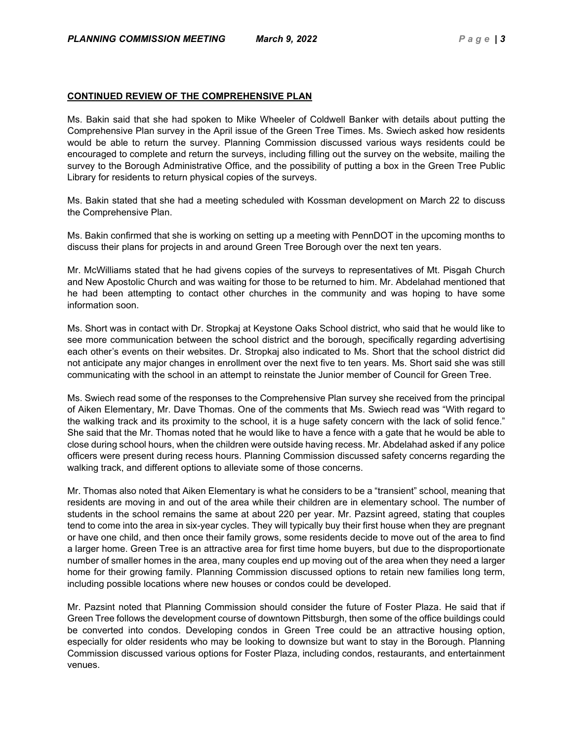### **CONTINUED REVIEW OF THE COMPREHENSIVE PLAN**

Ms. Bakin said that she had spoken to Mike Wheeler of Coldwell Banker with details about putting the Comprehensive Plan survey in the April issue of the Green Tree Times. Ms. Swiech asked how residents would be able to return the survey. Planning Commission discussed various ways residents could be encouraged to complete and return the surveys, including filling out the survey on the website, mailing the survey to the Borough Administrative Office, and the possibility of putting a box in the Green Tree Public Library for residents to return physical copies of the surveys.

Ms. Bakin stated that she had a meeting scheduled with Kossman development on March 22 to discuss the Comprehensive Plan.

Ms. Bakin confirmed that she is working on setting up a meeting with PennDOT in the upcoming months to discuss their plans for projects in and around Green Tree Borough over the next ten years.

Mr. McWilliams stated that he had givens copies of the surveys to representatives of Mt. Pisgah Church and New Apostolic Church and was waiting for those to be returned to him. Mr. Abdelahad mentioned that he had been attempting to contact other churches in the community and was hoping to have some information soon.

Ms. Short was in contact with Dr. Stropkaj at Keystone Oaks School district, who said that he would like to see more communication between the school district and the borough, specifically regarding advertising each other's events on their websites. Dr. Stropkaj also indicated to Ms. Short that the school district did not anticipate any major changes in enrollment over the next five to ten years. Ms. Short said she was still communicating with the school in an attempt to reinstate the Junior member of Council for Green Tree.

Ms. Swiech read some of the responses to the Comprehensive Plan survey she received from the principal of Aiken Elementary, Mr. Dave Thomas. One of the comments that Ms. Swiech read was "With regard to the walking track and its proximity to the school, it is a huge safety concern with the lack of solid fence." She said that the Mr. Thomas noted that he would like to have a fence with a gate that he would be able to close during school hours, when the children were outside having recess. Mr. Abdelahad asked if any police officers were present during recess hours. Planning Commission discussed safety concerns regarding the walking track, and different options to alleviate some of those concerns.

Mr. Thomas also noted that Aiken Elementary is what he considers to be a "transient" school, meaning that residents are moving in and out of the area while their children are in elementary school. The number of students in the school remains the same at about 220 per year. Mr. Pazsint agreed, stating that couples tend to come into the area in six-year cycles. They will typically buy their first house when they are pregnant or have one child, and then once their family grows, some residents decide to move out of the area to find a larger home. Green Tree is an attractive area for first time home buyers, but due to the disproportionate number of smaller homes in the area, many couples end up moving out of the area when they need a larger home for their growing family. Planning Commission discussed options to retain new families long term, including possible locations where new houses or condos could be developed.

Mr. Pazsint noted that Planning Commission should consider the future of Foster Plaza. He said that if Green Tree follows the development course of downtown Pittsburgh, then some of the office buildings could be converted into condos. Developing condos in Green Tree could be an attractive housing option, especially for older residents who may be looking to downsize but want to stay in the Borough. Planning Commission discussed various options for Foster Plaza, including condos, restaurants, and entertainment venues.